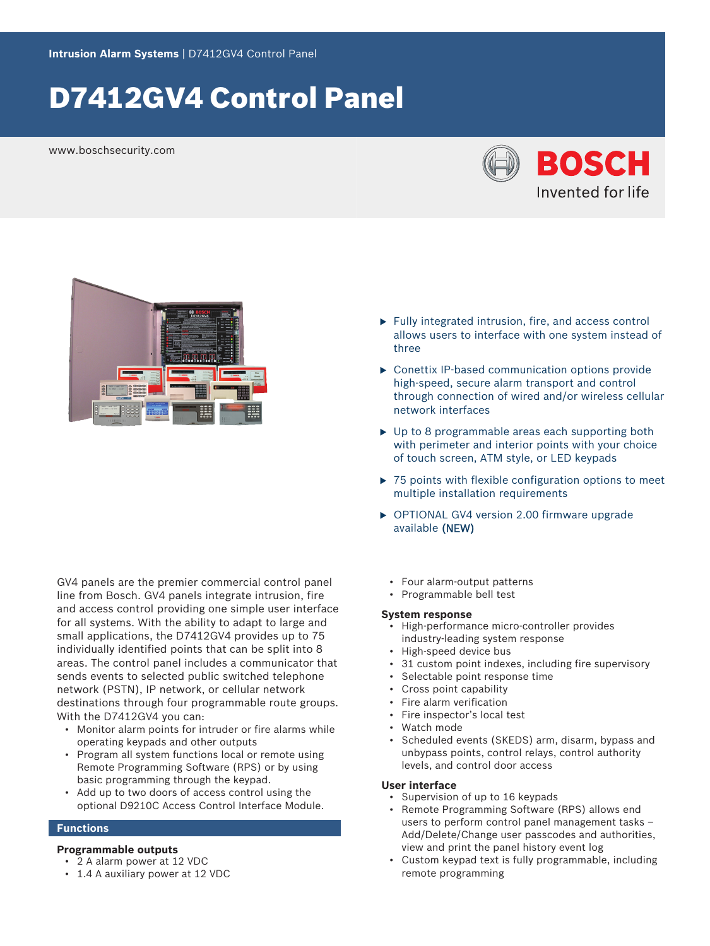# D7412GV4 Control Panel

www.boschsecurity.com





GV4 panels are the premier commercial control panel line from Bosch. GV4 panels integrate intrusion, fire and access control providing one simple user interface for all systems. With the ability to adapt to large and small applications, the D7412GV4 provides up to 75 individually identified points that can be split into 8 areas. The control panel includes a communicator that sends events to selected public switched telephone network (PSTN), IP network, or cellular network destinations through four programmable route groups. With the D7412GV4 you can:

- Monitor alarm points for intruder or fire alarms while operating keypads and other outputs
- Program all system functions local or remote using Remote Programming Software (RPS) or by using basic programming through the keypad.
- Add up to two doors of access control using the optional D9210C Access Control Interface Module.

# **Functions**

# **Programmable outputs**

- 2 A alarm power at 12 VDC
- 1.4 A auxiliary power at 12 VDC
- $\blacktriangleright$  Fully integrated intrusion, fire, and access control allows users to interface with one system instead of three
- $\triangleright$  Conettix IP-based communication options provide high-speed, secure alarm transport and control through connection of wired and/or wireless cellular network interfaces
- $\triangleright$  Up to 8 programmable areas each supporting both with perimeter and interior points with your choice of touch screen, ATM style, or LED keypads
- $\triangleright$  75 points with flexible configuration options to meet multiple installation requirements
- ▶ OPTIONAL GV4 version 2.00 firmware upgrade available (NEW)
	- Four alarm‑output patterns
	- Programmable bell test

# **System response**

- High-performance micro‑controller provides industry‑leading system response
- High-speed device bus
- 31 custom point indexes, including fire supervisory
- Selectable point response time
- Cross point capability
- Fire alarm verification
- Fire inspector's local test
- Watch mode
- Scheduled events (SKEDS) arm, disarm, bypass and unbypass points, control relays, control authority levels, and control door access

# **User interface**

- Supervision of up to 16 keypads
- Remote Programming Software (RPS) allows end users to perform control panel management tasks – Add/Delete/Change user passcodes and authorities, view and print the panel history event log
- Custom keypad text is fully programmable, including remote programming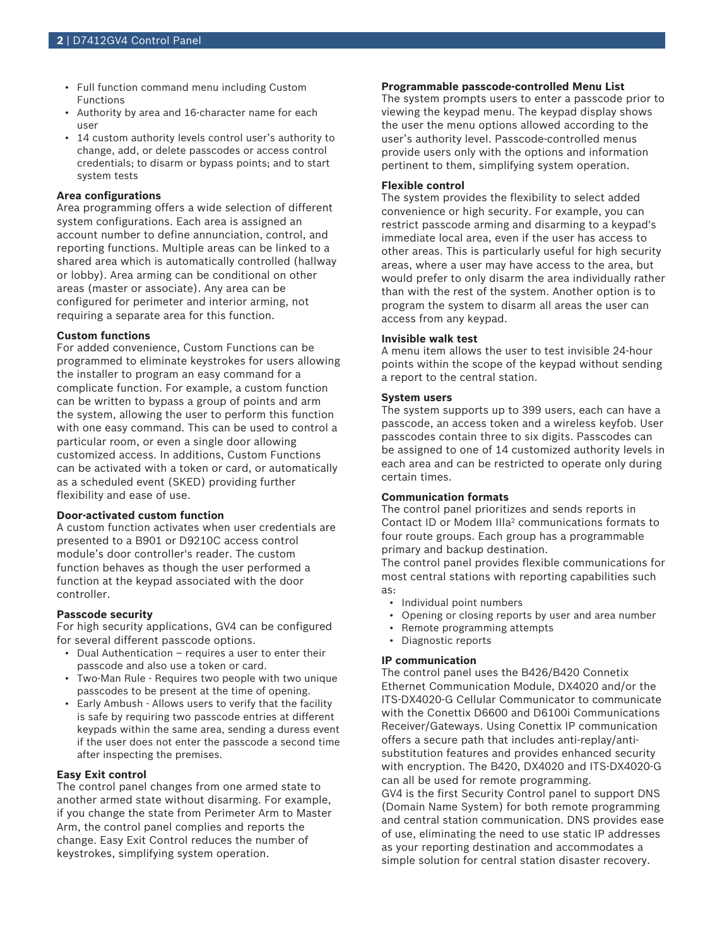- Full function command menu including Custom Functions
- Authority by area and 16‑character name for each user
- 14 custom authority levels control user's authority to change, add, or delete passcodes or access control credentials; to disarm or bypass points; and to start system tests

# **Area configurations**

Area programming offers a wide selection of different system configurations. Each area is assigned an account number to define annunciation, control, and reporting functions. Multiple areas can be linked to a shared area which is automatically controlled (hallway or lobby). Area arming can be conditional on other areas (master or associate). Any area can be configured for perimeter and interior arming, not requiring a separate area for this function.

# **Custom functions**

For added convenience, Custom Functions can be programmed to eliminate keystrokes for users allowing the installer to program an easy command for a complicate function. For example, a custom function can be written to bypass a group of points and arm the system, allowing the user to perform this function with one easy command. This can be used to control a particular room, or even a single door allowing customized access. In additions, Custom Functions can be activated with a token or card, or automatically as a scheduled event (SKED) providing further flexibility and ease of use.

# **Door-activated custom function**

A custom function activates when user credentials are presented to a B901 or D9210C access control module's door controller's reader. The custom function behaves as though the user performed a function at the keypad associated with the door controller.

#### **Passcode security**

For high security applications, GV4 can be configured for several different passcode options.

- Dual Authentication requires a user to enter their passcode and also use a token or card.
- Two-Man Rule Requires two people with two unique passcodes to be present at the time of opening.
- Early Ambush Allows users to verify that the facility is safe by requiring two passcode entries at different keypads within the same area, sending a duress event if the user does not enter the passcode a second time after inspecting the premises.

## **Easy Exit control**

The control panel changes from one armed state to another armed state without disarming. For example, if you change the state from Perimeter Arm to Master Arm, the control panel complies and reports the change. Easy Exit Control reduces the number of keystrokes, simplifying system operation.

# **Programmable passcode-controlled Menu List**

The system prompts users to enter a passcode prior to viewing the keypad menu. The keypad display shows the user the menu options allowed according to the user's authority level. Passcode-controlled menus provide users only with the options and information pertinent to them, simplifying system operation.

## **Flexible control**

The system provides the flexibility to select added convenience or high security. For example, you can restrict passcode arming and disarming to a keypad's immediate local area, even if the user has access to other areas. This is particularly useful for high security areas, where a user may have access to the area, but would prefer to only disarm the area individually rather than with the rest of the system. Another option is to program the system to disarm all areas the user can access from any keypad.

# **Invisible walk test**

A menu item allows the user to test invisible 24-hour points within the scope of the keypad without sending a report to the central station.

# **System users**

The system supports up to 399 users, each can have a passcode, an access token and a wireless keyfob. User passcodes contain three to six digits. Passcodes can be assigned to one of 14 customized authority levels in each area and can be restricted to operate only during certain times.

# **Communication formats**

The control panel prioritizes and sends reports in Contact ID or Modem IIIa<sup>2</sup> communications formats to four route groups. Each group has a programmable primary and backup destination.

The control panel provides flexible communications for most central stations with reporting capabilities such as:

- Individual point numbers
- Opening or closing reports by user and area number
- Remote programming attempts
- Diagnostic reports

#### **IP communication**

The control panel uses the B426/B420 Connetix Ethernet Communication Module, DX4020 and/or the ITS‑DX4020‑G Cellular Communicator to communicate with the Conettix D6600 and D6100i Communications Receiver/Gateways. Using Conettix IP communication offers a secure path that includes anti-replay/antisubstitution features and provides enhanced security with encryption. The B420, DX4020 and ITS‑DX4020‑G can all be used for remote programming.

GV4 is the first Security Control panel to support DNS (Domain Name System) for both remote programming and central station communication. DNS provides ease of use, eliminating the need to use static IP addresses as your reporting destination and accommodates a simple solution for central station disaster recovery.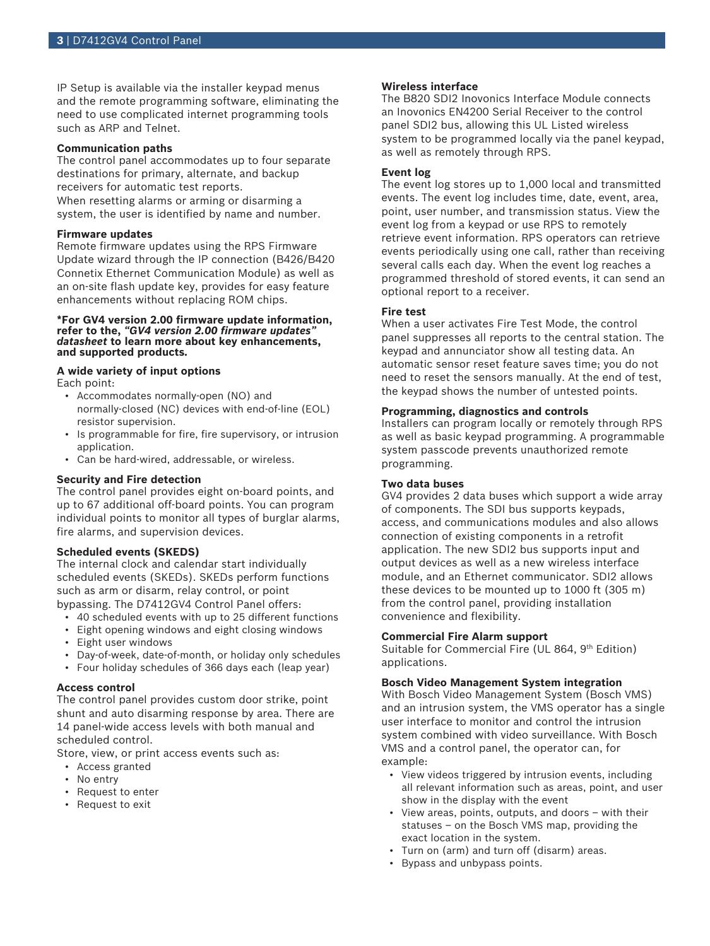IP Setup is available via the installer keypad menus and the remote programming software, eliminating the need to use complicated internet programming tools such as ARP and Telnet.

# **Communication paths**

The control panel accommodates up to four separate destinations for primary, alternate, and backup receivers for automatic test reports. When resetting alarms or arming or disarming a

system, the user is identified by name and number.

# **Firmware updates**

Remote firmware updates using the RPS Firmware Update wizard through the IP connection (B426/B420 Connetix Ethernet Communication Module) as well as an on-site flash update key, provides for easy feature enhancements without replacing ROM chips.

## **\*For GV4 version 2.00 firmware update information, refer to the,** *"GV4 version 2.00 firmware updates" datasheet* **to learn more about key enhancements, and supported products***.*

#### **A wide variety of input options** Each point:

- Accommodates normally‑open (NO) and normally-closed (NC) devices with end-of-line (EOL) resistor supervision.
- Is programmable for fire, fire supervisory, or intrusion application.
- Can be hard-wired, addressable, or wireless.

# **Security and Fire detection**

The control panel provides eight on-board points, and up to 67 additional off‑board points. You can program individual points to monitor all types of burglar alarms, fire alarms, and supervision devices.

# **Scheduled events (SKEDS)**

The internal clock and calendar start individually scheduled events (SKEDs). SKEDs perform functions such as arm or disarm, relay control, or point bypassing. The D7412GV4 Control Panel offers:

- 40 scheduled events with up to 25 different functions
- Eight opening windows and eight closing windows
- Eight user windows
- Day-of-week, date-of-month, or holiday only schedules
- Four holiday schedules of 366 days each (leap year)

#### **Access control**

The control panel provides custom door strike, point shunt and auto disarming response by area. There are 14 panel-wide access levels with both manual and scheduled control.

Store, view, or print access events such as:

- Access granted
- No entry
- Request to enter
- Request to exit

# **Wireless interface**

The B820 SDI2 Inovonics Interface Module connects an Inovonics EN4200 Serial Receiver to the control panel SDI2 bus, allowing this UL Listed wireless system to be programmed locally via the panel keypad, as well as remotely through RPS.

# **Event log**

The event log stores up to 1,000 local and transmitted events. The event log includes time, date, event, area, point, user number, and transmission status. View the event log from a keypad or use RPS to remotely retrieve event information. RPS operators can retrieve events periodically using one call, rather than receiving several calls each day. When the event log reaches a programmed threshold of stored events, it can send an optional report to a receiver.

## **Fire test**

When a user activates Fire Test Mode, the control panel suppresses all reports to the central station. The keypad and annunciator show all testing data. An automatic sensor reset feature saves time; you do not need to reset the sensors manually. At the end of test, the keypad shows the number of untested points.

# **Programming, diagnostics and controls**

Installers can program locally or remotely through RPS as well as basic keypad programming. A programmable system passcode prevents unauthorized remote programming.

# **Two data buses**

GV4 provides 2 data buses which support a wide array of components. The SDI bus supports keypads, access, and communications modules and also allows connection of existing components in a retrofit application. The new SDI2 bus supports input and output devices as well as a new wireless interface module, and an Ethernet communicator. SDI2 allows these devices to be mounted up to 1000 ft (305 m) from the control panel, providing installation convenience and flexibility.

#### **Commercial Fire Alarm support**

Suitable for Commercial Fire (UL 864, 9th Edition) applications.

# **Bosch Video Management System integration**

With Bosch Video Management System (Bosch VMS) and an intrusion system, the VMS operator has a single user interface to monitor and control the intrusion system combined with video surveillance. With Bosch VMS and a control panel, the operator can, for example:

- View videos triggered by intrusion events, including all relevant information such as areas, point, and user show in the display with the event
- View areas, points, outputs, and doors  $-$  with their statuses – on the Bosch VMS map, providing the exact location in the system.
- Turn on (arm) and turn off (disarm) areas.
- Bypass and unbypass points.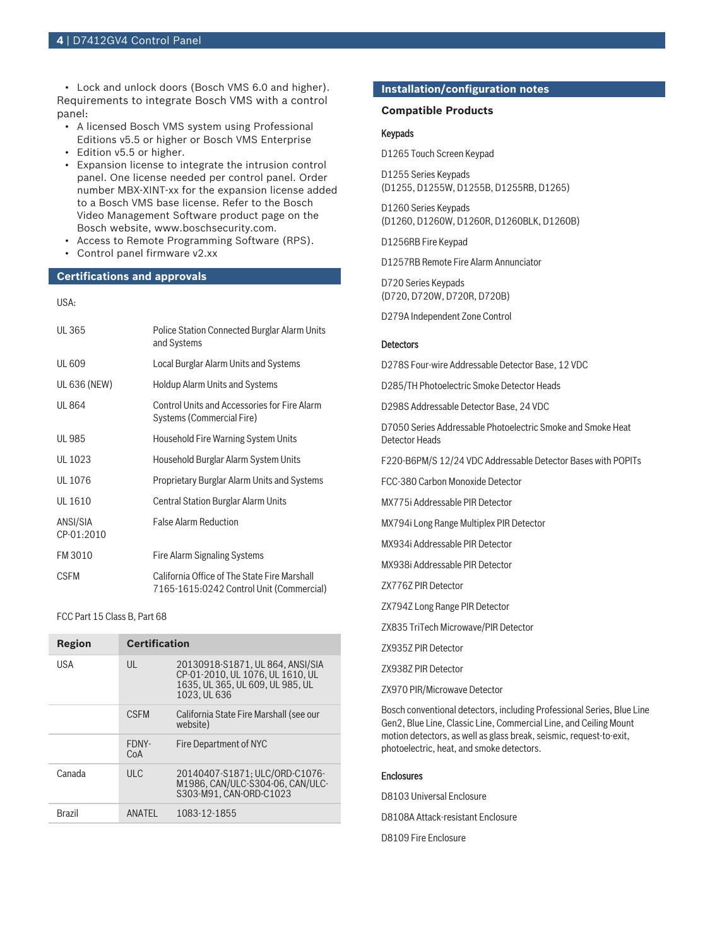• Lock and unlock doors (Bosch VMS 6.0 and higher). Requirements to integrate Bosch VMS with a control panel:

- A licensed Bosch VMS system using Professional Editions v5.5 or higher or Bosch VMS Enterprise
- Edition v5.5 or higher.
- Expansion license to integrate the intrusion control panel. One license needed per control panel. Order number MBX-XINT-xx for the expansion license added to a Bosch VMS base license. Refer to the Bosch Video Management Software product page on the Bosch website, www.boschsecurity.com.
- Access to Remote Programming Software (RPS).
- Control panel firmware v2.xx

# **Certifications and approvals**

# USA:

| <b>UL365</b>           | Police Station Connected Burglar Alarm Units<br>and Systems                              |
|------------------------|------------------------------------------------------------------------------------------|
| <b>UL 609</b>          | Local Burglar Alarm Units and Systems                                                    |
| <b>UL 636 (NEW)</b>    | <b>Holdup Alarm Units and Systems</b>                                                    |
| UL 864                 | <b>Control Units and Accessories for Fire Alarm</b><br>Systems (Commercial Fire)         |
| <b>UL 985</b>          | Household Fire Warning System Units                                                      |
| UL 1023                | Household Burglar Alarm System Units                                                     |
| UL 1076                | Proprietary Burglar Alarm Units and Systems                                              |
| UL 1610                | Central Station Burglar Alarm Units                                                      |
| ANSI/SIA<br>CP-01:2010 | <b>False Alarm Reduction</b>                                                             |
| FM 3010                | Fire Alarm Signaling Systems                                                             |
| <b>CSFM</b>            | California Office of The State Fire Marshall<br>7165-1615:0242 Control Unit (Commercial) |

# FCC Part 15 Class B, Part 68

| Region | <b>Certification</b> |                                                                                                                          |  |
|--------|----------------------|--------------------------------------------------------------------------------------------------------------------------|--|
| USA    | $\mathsf{U}$         | 20130918-S1871, UL 864, ANSI/SIA<br>CP-01-2010. UL 1076. UL 1610. UL<br>1635, UL 365, UL 609, UL 985, UL<br>1023. UL 636 |  |
|        | <b>CSFM</b>          | California State Fire Marshall (see our<br>website)                                                                      |  |
|        | FDNY-<br>CoA         | Fire Department of NYC                                                                                                   |  |
| Canada | $UL$ $C$             | 20140407-S1871; ULC/ORD-C1076-<br>M1986. CAN/ULC-S304-06. CAN/ULC-<br>S303-M91, CAN-ORD-C1023                            |  |
| Brazil | ANATFI               | 1083-12-1855                                                                                                             |  |

#### **Installation/configuration notes**

# **Compatible Products**

# Keypads

D1265 Touch Screen Keypad

D1255 Series Keypads (D1255, D1255W, D1255B, D1255RB, D1265)

D1260 Series Keypads (D1260, D1260W, D1260R, D1260BLK, D1260B)

D1256RB Fire Keypad

D1257RB Remote Fire Alarm Annunciator

D720 Series Keypads (D720, D720W, D720R, D720B)

D279A Independent Zone Control

#### **Detectors**

D278S Four‑wire Addressable Detector Base, 12 VDC

D285/TH Photoelectric Smoke Detector Heads

D298S Addressable Detector Base, 24 VDC

D7050 Series Addressable Photoelectric Smoke and Smoke Heat Detector Heads

F220‑B6PM/S 12/24 VDC Addressable Detector Bases with POPITs

FCC-380 Carbon Monoxide Detector

MX775i Addressable PIR Detector

MX794i Long Range Multiplex PIR Detector

MX934i Addressable PIR Detector

MX938i Addressable PIR Detector

ZX776Z PIR Detector

ZX794Z Long Range PIR Detector

ZX835 TriTech Microwave/PIR Detector

ZX935Z PIR Detector

ZX938Z PIR Detector

ZX970 PIR/Microwave Detector

Bosch conventional detectors, including Professional Series, Blue Line Gen2, Blue Line, Classic Line, Commercial Line, and Ceiling Mount motion detectors, as well as glass break, seismic, request-to-exit, photoelectric, heat, and smoke detectors.

## **Enclosures**

D8103 Universal Enclosure D8108A Attack‑resistant Enclosure D8109 Fire Enclosure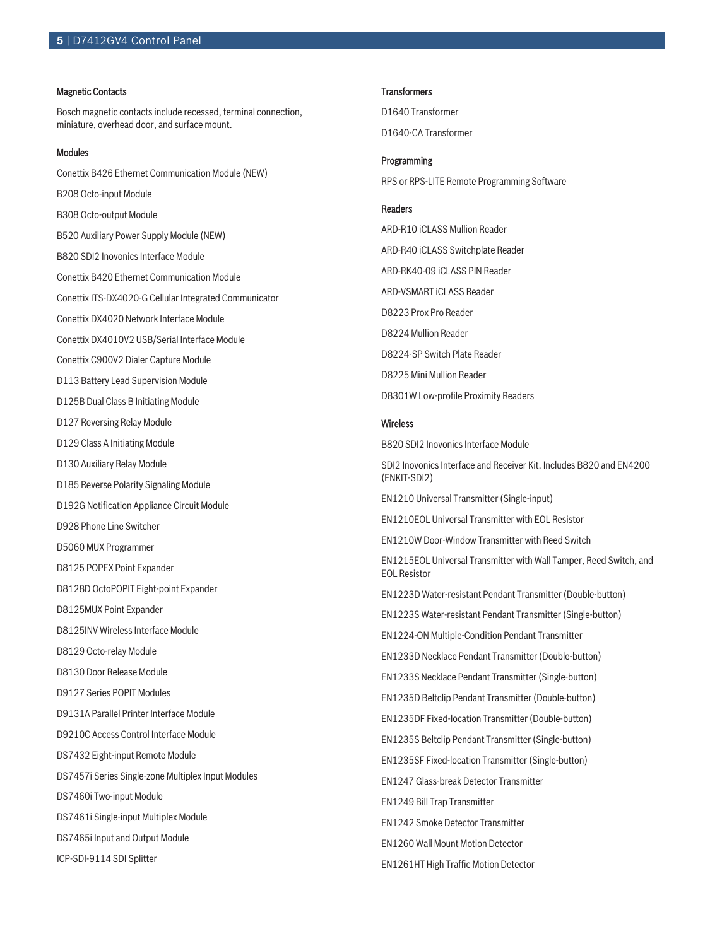## Magnetic Contacts

Bosch magnetic contacts include recessed, terminal connection, miniature, overhead door, and surface mount.

## Modules

Conettix B426 Ethernet Communication Module (NEW) B208 Octo-input Module B308 Octo-output Module B520 Auxiliary Power Supply Module (NEW) B820 SDI2 Inovonics Interface Module Conettix B420 Ethernet Communication Module Conettix ITS‑DX4020-G Cellular Integrated Communicator Conettix DX4020 Network Interface Module Conettix DX4010V2 USB/Serial Interface Module Conettix C900V2 Dialer Capture Module D113 Battery Lead Supervision Module D125B Dual Class B Initiating Module D127 Reversing Relay Module D129 Class A Initiating Module D130 Auxiliary Relay Module D185 Reverse Polarity Signaling Module D192G Notification Appliance Circuit Module D928 Phone Line Switcher D5060 MUX Programmer D8125 POPEX Point Expander D8128D OctoPOPIT Eight‑point Expander D8125MUX Point Expander D8125INV Wireless Interface Module D8129 Octo-relay Module D8130 Door Release Module D9127 Series POPIT Modules D9131A Parallel Printer Interface Module D9210C Access Control Interface Module DS7432 Eight‑input Remote Module DS7457i Series Single‑zone Multiplex Input Modules DS7460i Two‑input Module DS7461i Single‑input Multiplex Module DS7465i Input and Output Module ICP-SDI-9114 SDI Splitter

#### **Transformers**

D1640 Transformer D1640-CA Transformer

# Programming

RPS or RPS‑LITE Remote Programming Software

# Readers

ARD‑R10 iCLASS Mullion Reader ARD‑R40 iCLASS Switchplate Reader ARD‑RK40‑09 iCLASS PIN Reader ARD-VSMART iCLASS Reader D8223 Prox Pro Reader D8224 Mullion Reader D8224‑SP Switch Plate Reader D8225 Mini Mullion Reader D8301W Low‑profile Proximity Readers

# Wireless

B820 SDI2 Inovonics Interface Module SDI2 Inovonics Interface and Receiver Kit. Includes B820 and EN4200 (ENKIT-SDI2) EN1210 Universal Transmitter (Single-input) EN1210EOL Universal Transmitter with EOL Resistor EN1210W Door-Window Transmitter with Reed Switch EN1215EOL Universal Transmitter with Wall Tamper, Reed Switch, and EOL Resistor EN1223D Water‑resistant Pendant Transmitter (Double‑button) EN1223S Water‑resistant Pendant Transmitter (Single‑button) EN1224-ON Multiple-Condition Pendant Transmitter EN1233D Necklace Pendant Transmitter (Double-button) EN1233S Necklace Pendant Transmitter (Single-button) EN1235D Beltclip Pendant Transmitter (Double-button) EN1235DF Fixed-location Transmitter (Double-button) EN1235S Beltclip Pendant Transmitter (Single-button) EN1235SF Fixed-location Transmitter (Single-button) EN1247 Glass-break Detector Transmitter EN1249 Bill Trap Transmitter EN1242 Smoke Detector Transmitter EN1260 Wall Mount Motion Detector EN1261HT High Traffic Motion Detector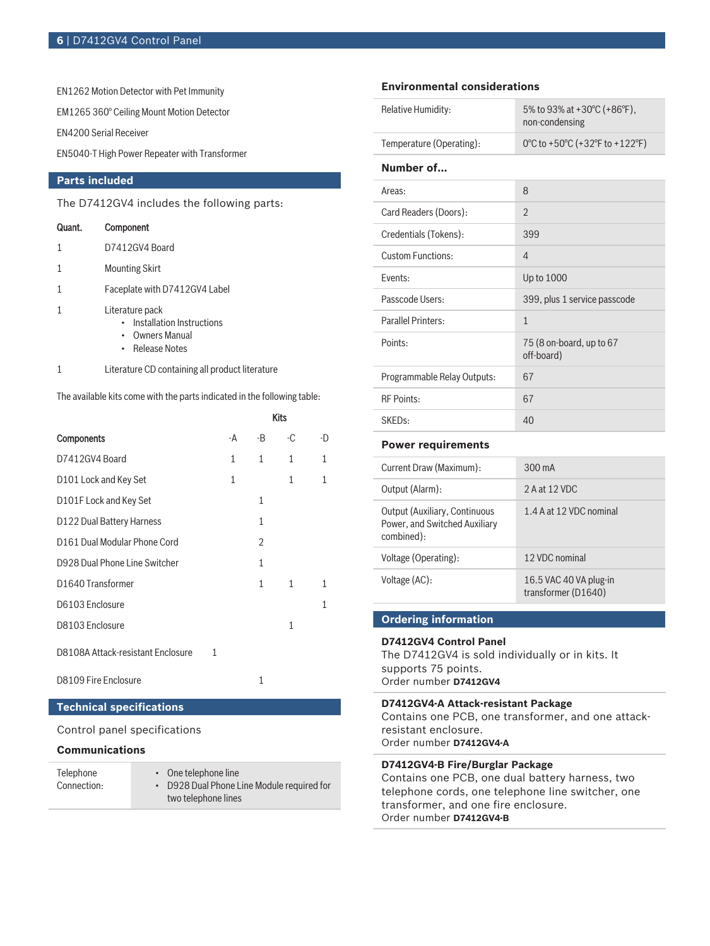EN1262 Motion Detector with Pet Immunity

EM1265 360° Ceiling Mount Motion Detector

EN4200 Serial Receiver

EN5040-T High Power Repeater with Transformer

# **Parts included**

The D7412GV4 includes the following parts:

# Quant. Component

- 1 Mounting Skirt
- 1 Faceplate with D7412GV4 Label
- 1 Literature pack
	- Installation Instructions
	- Owners Manual
	- Release Notes
- 1 Literature CD containing all product literature

The available kits come with the parts indicated in the following table:

|                                   |   |              |              | Kits         |    |
|-----------------------------------|---|--------------|--------------|--------------|----|
| <b>Components</b>                 |   | -A           | -B           | -C           | -D |
| D7412GV4 Board                    |   | $\mathbf{1}$ | $\mathbf{1}$ | $\mathbf{1}$ | 1  |
| D101 Lock and Key Set             |   | 1            |              | $\mathbf{1}$ | 1  |
| D101F Lock and Key Set            |   |              | 1            |              |    |
| D122 Dual Battery Harness         |   |              | $\mathbf{1}$ |              |    |
| D161 Dual Modular Phone Cord      |   |              | 2            |              |    |
| D928 Dual Phone Line Switcher     |   |              | 1            |              |    |
| D1640 Transformer                 |   |              | 1            | 1            | 1  |
| D6103 Enclosure                   |   |              |              |              | 1  |
| D8103 Enclosure                   |   |              |              | $\mathbf{1}$ |    |
| D8108A Attack-resistant Enclosure | 1 |              |              |              |    |
| D8109 Fire Enclosure              |   |              | 1            |              |    |

# **Technical specifications**

Control panel specifications

# **Communications**

| Telephone   | • One telephone line                       |
|-------------|--------------------------------------------|
| Connection: | • D928 Dual Phone Line Module required for |
|             | two telephone lines                        |

# **Environmental considerations**

| Relative Humidity:          | 5% to 93% at +30 $^{\circ}$ C (+86 $^{\circ}$ F),<br>non-condensing |
|-----------------------------|---------------------------------------------------------------------|
| Temperature (Operating):    | 0°C to +50°C (+32°F to +122°F)                                      |
| Number of                   |                                                                     |
| Areas:                      | 8                                                                   |
| Card Readers (Doors):       | $\mathfrak{D}$                                                      |
| Credentials (Tokens):       | 399                                                                 |
| Custom Eunctions.           | $\overline{4}$                                                      |
| Fvents:                     | Up to 1000                                                          |
| Passcode Users:             | 399, plus 1 service passcode                                        |
| Parallel Printers:          | $\mathbf{1}$                                                        |
| Points:                     | 75 (8 on-board, up to 67<br>off-board)                              |
| Programmable Relay Outputs: | 67                                                                  |
| <b>RF Points:</b>           | 67                                                                  |
| SKED <sub>s:</sub>          | 40                                                                  |

## **Power requirements**

| Current Draw (Maximum):                                                             | $300 \text{ mA}$                              |
|-------------------------------------------------------------------------------------|-----------------------------------------------|
| Output (Alarm):                                                                     | 2 A at 12 VDC                                 |
| <b>Output (Auxiliary, Continuous</b><br>Power, and Switched Auxiliary<br>combined): | 1.4 A at 12 VDC nominal                       |
| Voltage (Operating):                                                                | 12 VDC nominal                                |
| Voltage (AC):                                                                       | 16.5 VAC 40 VA plug-in<br>transformer (D1640) |

# **Ordering information**

# **D7412GV4 Control Panel**

The D7412GV4 is sold individually or in kits. It supports 75 points. Order number **D7412GV4**

# **D7412GV4-A Attack-resistant Package**

Contains one PCB, one transformer, and one attackresistant enclosure. Order number **D7412GV4-A**

# **D7412GV4-B Fire/Burglar Package**

Contains one PCB, one dual battery harness, two telephone cords, one telephone line switcher, one transformer, and one fire enclosure. Order number **D7412GV4-B**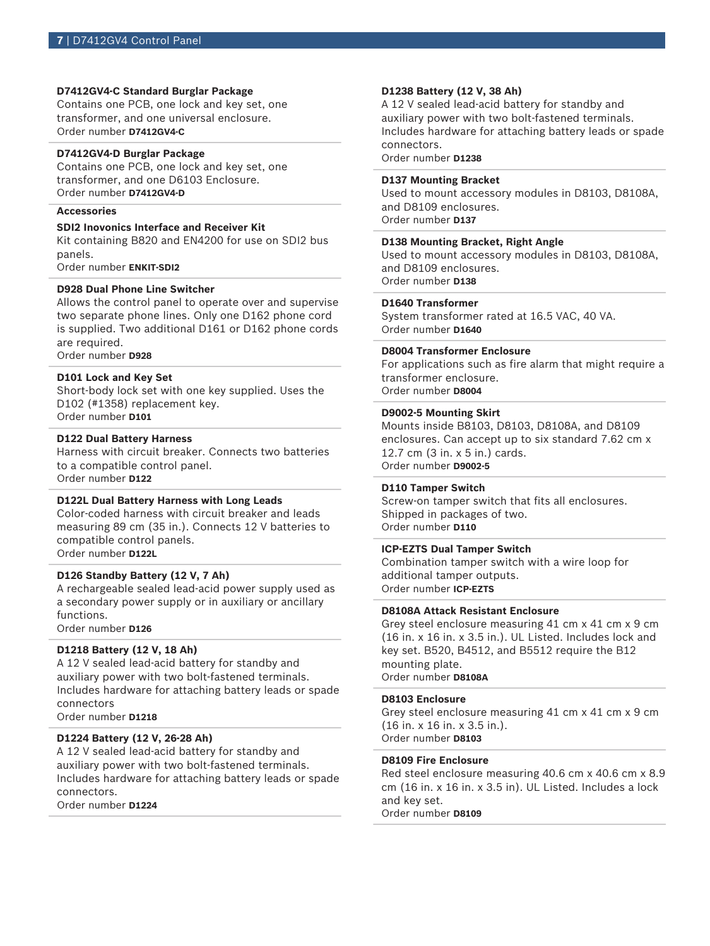# **D7412GV4-C Standard Burglar Package**

Contains one PCB, one lock and key set, one transformer, and one universal enclosure. Order number **D7412GV4-C**

# **D7412GV4-D Burglar Package**

Contains one PCB, one lock and key set, one transformer, and one D6103 Enclosure. Order number **D7412GV4-D**

# **Accessories**

# **SDI2 Inovonics Interface and Receiver Kit**

Kit containing B820 and EN4200 for use on SDI2 bus panels.

Order number **ENKIT-SDI2**

# **D928 Dual Phone Line Switcher**

Allows the control panel to operate over and supervise two separate phone lines. Only one D162 phone cord is supplied. Two additional D161 or D162 phone cords are required.

Order number **D928**

# **D101 Lock and Key Set**

Short-body lock set with one key supplied. Uses the D102 (#1358) replacement key. Order number **D101**

# **D122 Dual Battery Harness**

Harness with circuit breaker. Connects two batteries to a compatible control panel. Order number **D122**

#### **D122L Dual Battery Harness with Long Leads**

Color-coded harness with circuit breaker and leads measuring 89 cm (35 in.). Connects 12 V batteries to compatible control panels. Order number **D122L**

#### **D126 Standby Battery (12 V, 7 Ah)**

A rechargeable sealed lead‑acid power supply used as a secondary power supply or in auxiliary or ancillary functions. Order number **D126**

# **D1218 Battery (12 V, 18 Ah)**

A 12 V sealed lead‑acid battery for standby and auxiliary power with two bolt-fastened terminals. Includes hardware for attaching battery leads or spade connectors

Order number **D1218**

# **D1224 Battery (12 V, 26‑28 Ah)**

A 12 V sealed lead‑acid battery for standby and auxiliary power with two bolt-fastened terminals. Includes hardware for attaching battery leads or spade connectors.

Order number **D1224**

#### **D1238 Battery (12 V, 38 Ah)**

A 12 V sealed lead-acid battery for standby and auxiliary power with two bolt-fastened terminals. Includes hardware for attaching battery leads or spade connectors.

Order number **D1238**

# **D137 Mounting Bracket**

Used to mount accessory modules in D8103, D8108A, and D8109 enclosures. Order number **D137**

#### **D138 Mounting Bracket, Right Angle**

Used to mount accessory modules in D8103, D8108A, and D8109 enclosures. Order number **D138**

# **D1640 Transformer**

System transformer rated at 16.5 VAC, 40 VA. Order number **D1640**

# **D8004 Transformer Enclosure**

For applications such as fire alarm that might require a transformer enclosure. Order number **D8004**

#### **D9002‑5 Mounting Skirt**

Mounts inside B8103, D8103, D8108A, and D8109 enclosures. Can accept up to six standard 7.62 cm x 12.7 cm (3 in. x 5 in.) cards. Order number **D9002-5**

#### **D110 Tamper Switch**

Screw-on tamper switch that fits all enclosures. Shipped in packages of two. Order number **D110**

# **ICP‑EZTS Dual Tamper Switch**

Combination tamper switch with a wire loop for additional tamper outputs. Order number **ICP-EZTS**

#### **D8108A Attack Resistant Enclosure**

Grey steel enclosure measuring 41 cm x 41 cm x 9 cm (16 in. x 16 in. x 3.5 in.). UL Listed. Includes lock and key set. B520, B4512, and B5512 require the B12 mounting plate. Order number **D8108A**

#### **D8103 Enclosure**

Grey steel enclosure measuring 41 cm x 41 cm x 9 cm (16 in. x 16 in. x 3.5 in.). Order number **D8103**

# **D8109 Fire Enclosure**

Red steel enclosure measuring 40.6 cm x 40.6 cm x 8.9 cm (16 in. x 16 in. x 3.5 in). UL Listed. Includes a lock and key set.

Order number **D8109**